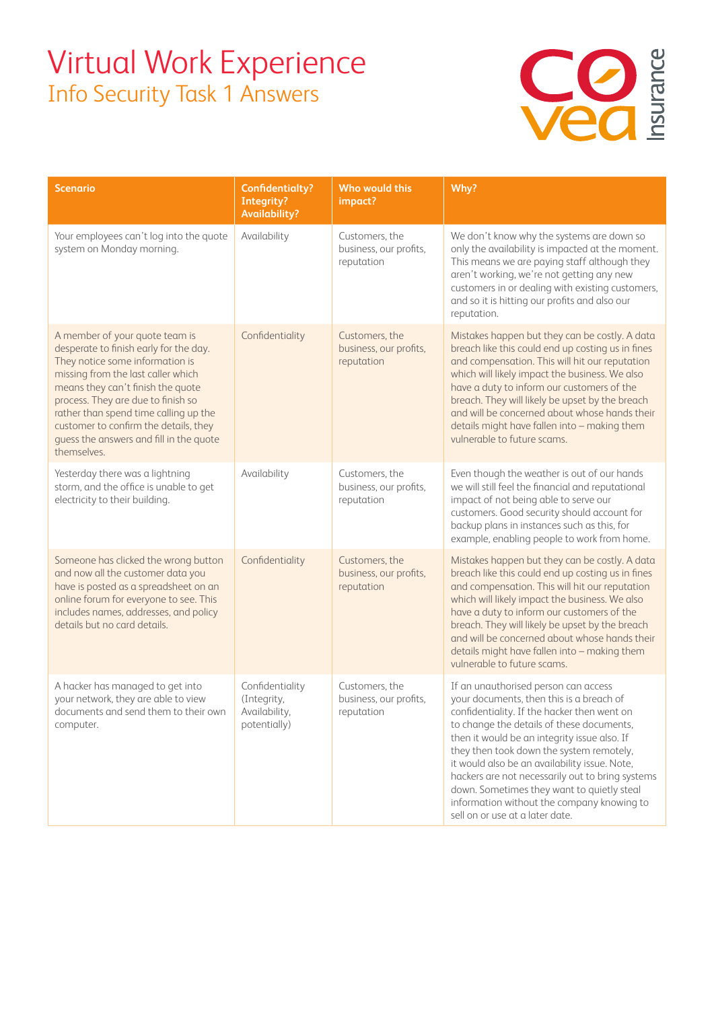## Virtual Work Experience Info Security Task 1 Answers



| <b>Scenario</b>                                                                                                                                                                                                                                                                                                                                                          | <b>Confidentialty?</b><br>Integrity?<br><b>Availability?</b>    | Who would this<br>impact?                              | Why?                                                                                                                                                                                                                                                                                                                                                                                                                                                                                                         |
|--------------------------------------------------------------------------------------------------------------------------------------------------------------------------------------------------------------------------------------------------------------------------------------------------------------------------------------------------------------------------|-----------------------------------------------------------------|--------------------------------------------------------|--------------------------------------------------------------------------------------------------------------------------------------------------------------------------------------------------------------------------------------------------------------------------------------------------------------------------------------------------------------------------------------------------------------------------------------------------------------------------------------------------------------|
| Your employees can't log into the quote<br>system on Monday morning.                                                                                                                                                                                                                                                                                                     | Availability                                                    | Customers, the<br>business, our profits,<br>reputation | We don't know why the systems are down so<br>only the availability is impacted at the moment.<br>This means we are paying staff although they<br>aren't working, we're not getting any new<br>customers in or dealing with existing customers,<br>and so it is hitting our profits and also our<br>reputation.                                                                                                                                                                                               |
| A member of your quote team is<br>desperate to finish early for the day.<br>They notice some information is<br>missing from the last caller which<br>means they can't finish the quote<br>process. They are due to finish so<br>rather than spend time calling up the<br>customer to confirm the details, they<br>guess the answers and fill in the quote<br>themselves. | Confidentiality                                                 | Customers, the<br>business, our profits,<br>reputation | Mistakes happen but they can be costly. A data<br>breach like this could end up costing us in fines<br>and compensation. This will hit our reputation<br>which will likely impact the business. We also<br>have a duty to inform our customers of the<br>breach. They will likely be upset by the breach<br>and will be concerned about whose hands their<br>details might have fallen into - making them<br>vulnerable to future scams.                                                                     |
| Yesterday there was a lightning<br>storm, and the office is unable to get<br>electricity to their building.                                                                                                                                                                                                                                                              | Availability                                                    | Customers, the<br>business, our profits,<br>reputation | Even though the weather is out of our hands<br>we will still feel the financial and reputational<br>impact of not being able to serve our<br>customers. Good security should account for<br>backup plans in instances such as this, for<br>example, enabling people to work from home.                                                                                                                                                                                                                       |
| Someone has clicked the wrong button<br>and now all the customer data you<br>have is posted as a spreadsheet on an<br>online forum for everyone to see. This<br>includes names, addresses, and policy<br>details but no card details.                                                                                                                                    | Confidentiality                                                 | Customers, the<br>business, our profits,<br>reputation | Mistakes happen but they can be costly. A data<br>breach like this could end up costing us in fines<br>and compensation. This will hit our reputation<br>which will likely impact the business. We also<br>have a duty to inform our customers of the<br>breach. They will likely be upset by the breach<br>and will be concerned about whose hands their<br>details might have fallen into - making them<br>vulnerable to future scams.                                                                     |
| A hacker has managed to get into<br>your network, they are able to view<br>documents and send them to their own<br>computer.                                                                                                                                                                                                                                             | Confidentiality<br>(Integrity,<br>Availability,<br>potentially) | Customers, the<br>business, our profits,<br>reputation | If an unauthorised person can access<br>your documents, then this is a breach of<br>confidentiality. If the hacker then went on<br>to change the details of these documents,<br>then it would be an integrity issue also. If<br>they then took down the system remotely,<br>it would also be an availability issue. Note,<br>hackers are not necessarily out to bring systems<br>down. Sometimes they want to quietly steal<br>information without the company knowing to<br>sell on or use at a later date. |